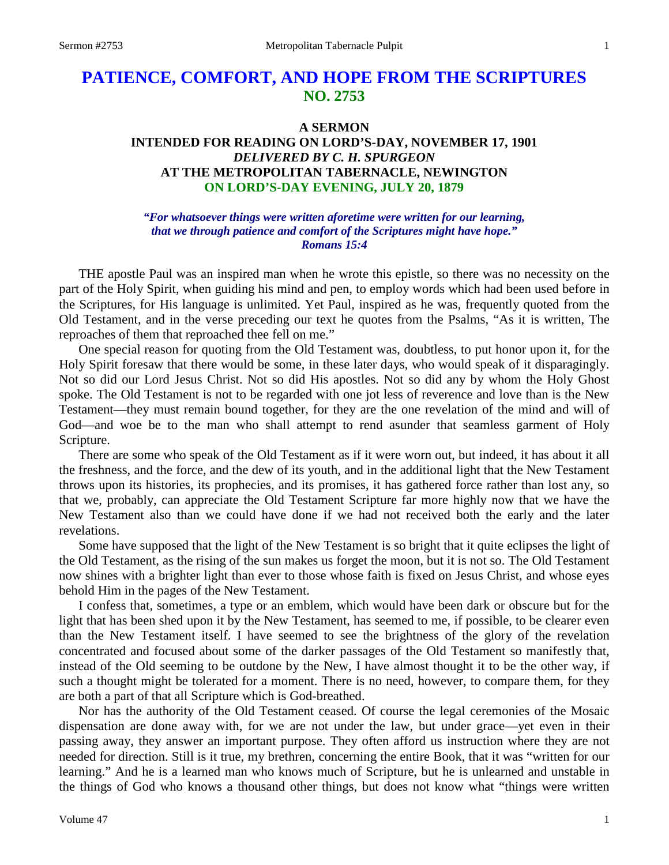# **PATIENCE, COMFORT, AND HOPE FROM THE SCRIPTURES NO. 2753**

# **A SERMON INTENDED FOR READING ON LORD'S-DAY, NOVEMBER 17, 1901** *DELIVERED BY C. H. SPURGEON* **AT THE METROPOLITAN TABERNACLE, NEWINGTON ON LORD'S-DAY EVENING, JULY 20, 1879**

#### *"For whatsoever things were written aforetime were written for our learning, that we through patience and comfort of the Scriptures might have hope." Romans 15:4*

THE apostle Paul was an inspired man when he wrote this epistle, so there was no necessity on the part of the Holy Spirit, when guiding his mind and pen, to employ words which had been used before in the Scriptures, for His language is unlimited. Yet Paul, inspired as he was, frequently quoted from the Old Testament, and in the verse preceding our text he quotes from the Psalms, "As it is written, The reproaches of them that reproached thee fell on me."

One special reason for quoting from the Old Testament was, doubtless, to put honor upon it, for the Holy Spirit foresaw that there would be some, in these later days, who would speak of it disparagingly. Not so did our Lord Jesus Christ. Not so did His apostles. Not so did any by whom the Holy Ghost spoke. The Old Testament is not to be regarded with one jot less of reverence and love than is the New Testament—they must remain bound together, for they are the one revelation of the mind and will of God—and woe be to the man who shall attempt to rend asunder that seamless garment of Holy Scripture.

There are some who speak of the Old Testament as if it were worn out, but indeed, it has about it all the freshness, and the force, and the dew of its youth, and in the additional light that the New Testament throws upon its histories, its prophecies, and its promises, it has gathered force rather than lost any, so that we, probably, can appreciate the Old Testament Scripture far more highly now that we have the New Testament also than we could have done if we had not received both the early and the later revelations.

Some have supposed that the light of the New Testament is so bright that it quite eclipses the light of the Old Testament, as the rising of the sun makes us forget the moon, but it is not so. The Old Testament now shines with a brighter light than ever to those whose faith is fixed on Jesus Christ, and whose eyes behold Him in the pages of the New Testament.

I confess that, sometimes, a type or an emblem, which would have been dark or obscure but for the light that has been shed upon it by the New Testament, has seemed to me, if possible, to be clearer even than the New Testament itself. I have seemed to see the brightness of the glory of the revelation concentrated and focused about some of the darker passages of the Old Testament so manifestly that, instead of the Old seeming to be outdone by the New, I have almost thought it to be the other way, if such a thought might be tolerated for a moment. There is no need, however, to compare them, for they are both a part of that all Scripture which is God-breathed.

Nor has the authority of the Old Testament ceased. Of course the legal ceremonies of the Mosaic dispensation are done away with, for we are not under the law, but under grace—yet even in their passing away, they answer an important purpose. They often afford us instruction where they are not needed for direction. Still is it true, my brethren, concerning the entire Book, that it was "written for our learning." And he is a learned man who knows much of Scripture, but he is unlearned and unstable in the things of God who knows a thousand other things, but does not know what "things were written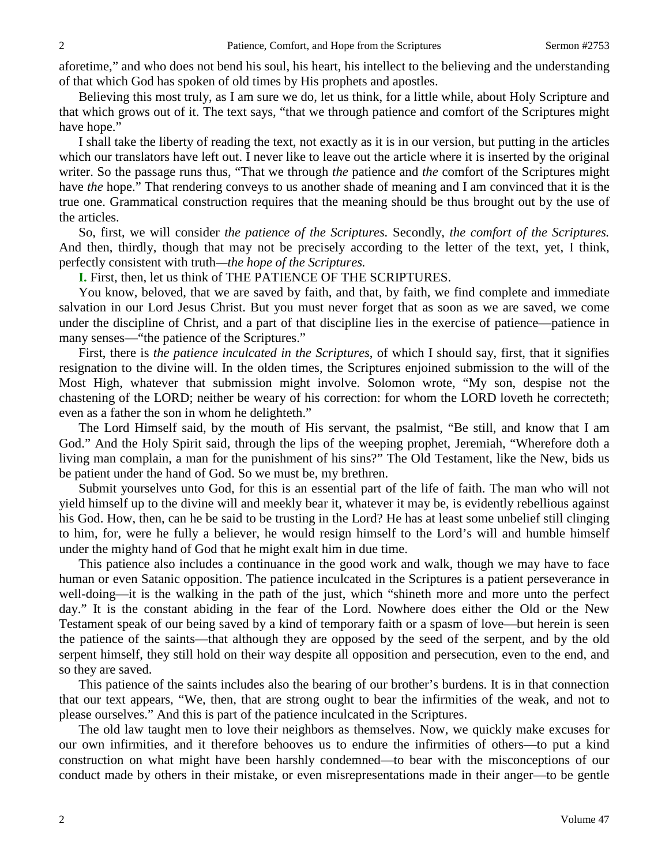aforetime," and who does not bend his soul, his heart, his intellect to the believing and the understanding of that which God has spoken of old times by His prophets and apostles.

Believing this most truly, as I am sure we do, let us think, for a little while, about Holy Scripture and that which grows out of it. The text says, "that we through patience and comfort of the Scriptures might have hope."

I shall take the liberty of reading the text, not exactly as it is in our version, but putting in the articles which our translators have left out. I never like to leave out the article where it is inserted by the original writer. So the passage runs thus, "That we through *the* patience and *the* comfort of the Scriptures might have *the* hope." That rendering conveys to us another shade of meaning and I am convinced that it is the true one. Grammatical construction requires that the meaning should be thus brought out by the use of the articles.

So, first, we will consider *the patience of the Scriptures.* Secondly, *the comfort of the Scriptures.* And then, thirdly, though that may not be precisely according to the letter of the text, yet, I think, perfectly consistent with truth*—the hope of the Scriptures.*

**I.** First, then, let us think of THE PATIENCE OF THE SCRIPTURES.

You know, beloved, that we are saved by faith, and that, by faith, we find complete and immediate salvation in our Lord Jesus Christ. But you must never forget that as soon as we are saved, we come under the discipline of Christ, and a part of that discipline lies in the exercise of patience—patience in many senses—"the patience of the Scriptures."

First, there is *the patience inculcated in the Scriptures*, of which I should say, first, that it signifies resignation to the divine will. In the olden times, the Scriptures enjoined submission to the will of the Most High, whatever that submission might involve. Solomon wrote, "My son, despise not the chastening of the LORD; neither be weary of his correction: for whom the LORD loveth he correcteth; even as a father the son in whom he delighteth."

The Lord Himself said, by the mouth of His servant, the psalmist, "Be still, and know that I am God." And the Holy Spirit said, through the lips of the weeping prophet, Jeremiah, "Wherefore doth a living man complain, a man for the punishment of his sins?" The Old Testament, like the New, bids us be patient under the hand of God. So we must be, my brethren.

Submit yourselves unto God, for this is an essential part of the life of faith. The man who will not yield himself up to the divine will and meekly bear it, whatever it may be, is evidently rebellious against his God. How, then, can he be said to be trusting in the Lord? He has at least some unbelief still clinging to him, for, were he fully a believer, he would resign himself to the Lord's will and humble himself under the mighty hand of God that he might exalt him in due time.

This patience also includes a continuance in the good work and walk, though we may have to face human or even Satanic opposition. The patience inculcated in the Scriptures is a patient perseverance in well-doing—it is the walking in the path of the just, which "shineth more and more unto the perfect day." It is the constant abiding in the fear of the Lord. Nowhere does either the Old or the New Testament speak of our being saved by a kind of temporary faith or a spasm of love—but herein is seen the patience of the saints—that although they are opposed by the seed of the serpent, and by the old serpent himself, they still hold on their way despite all opposition and persecution, even to the end, and so they are saved.

This patience of the saints includes also the bearing of our brother's burdens. It is in that connection that our text appears, "We, then, that are strong ought to bear the infirmities of the weak, and not to please ourselves." And this is part of the patience inculcated in the Scriptures.

The old law taught men to love their neighbors as themselves. Now, we quickly make excuses for our own infirmities, and it therefore behooves us to endure the infirmities of others—to put a kind construction on what might have been harshly condemned—to bear with the misconceptions of our conduct made by others in their mistake, or even misrepresentations made in their anger—to be gentle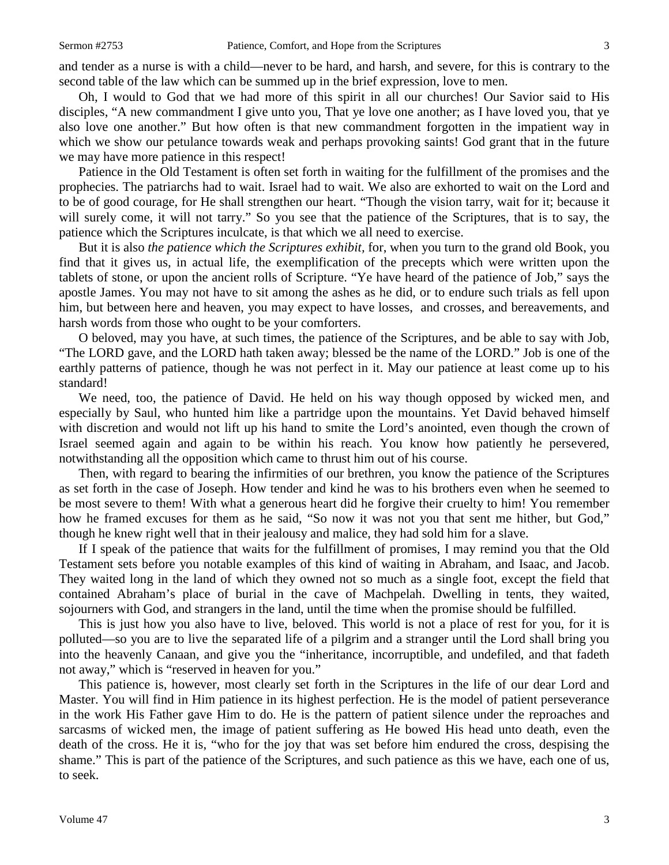and tender as a nurse is with a child—never to be hard, and harsh, and severe, for this is contrary to the second table of the law which can be summed up in the brief expression, love to men.

Oh, I would to God that we had more of this spirit in all our churches! Our Savior said to His disciples, "A new commandment I give unto you, That ye love one another; as I have loved you, that ye also love one another." But how often is that new commandment forgotten in the impatient way in which we show our petulance towards weak and perhaps provoking saints! God grant that in the future we may have more patience in this respect!

Patience in the Old Testament is often set forth in waiting for the fulfillment of the promises and the prophecies. The patriarchs had to wait. Israel had to wait. We also are exhorted to wait on the Lord and to be of good courage, for He shall strengthen our heart. "Though the vision tarry, wait for it; because it will surely come, it will not tarry." So you see that the patience of the Scriptures, that is to say, the patience which the Scriptures inculcate, is that which we all need to exercise.

But it is also *the patience which the Scriptures exhibit,* for, when you turn to the grand old Book, you find that it gives us, in actual life, the exemplification of the precepts which were written upon the tablets of stone, or upon the ancient rolls of Scripture. "Ye have heard of the patience of Job," says the apostle James. You may not have to sit among the ashes as he did, or to endure such trials as fell upon him, but between here and heaven, you may expect to have losses, and crosses, and bereavements, and harsh words from those who ought to be your comforters.

O beloved, may you have, at such times, the patience of the Scriptures, and be able to say with Job, "The LORD gave, and the LORD hath taken away; blessed be the name of the LORD." Job is one of the earthly patterns of patience, though he was not perfect in it. May our patience at least come up to his standard!

We need, too, the patience of David. He held on his way though opposed by wicked men, and especially by Saul, who hunted him like a partridge upon the mountains. Yet David behaved himself with discretion and would not lift up his hand to smite the Lord's anointed, even though the crown of Israel seemed again and again to be within his reach. You know how patiently he persevered, notwithstanding all the opposition which came to thrust him out of his course.

Then, with regard to bearing the infirmities of our brethren, you know the patience of the Scriptures as set forth in the case of Joseph. How tender and kind he was to his brothers even when he seemed to be most severe to them! With what a generous heart did he forgive their cruelty to him! You remember how he framed excuses for them as he said, "So now it was not you that sent me hither, but God," though he knew right well that in their jealousy and malice, they had sold him for a slave.

If I speak of the patience that waits for the fulfillment of promises, I may remind you that the Old Testament sets before you notable examples of this kind of waiting in Abraham, and Isaac, and Jacob. They waited long in the land of which they owned not so much as a single foot, except the field that contained Abraham's place of burial in the cave of Machpelah. Dwelling in tents, they waited, sojourners with God, and strangers in the land, until the time when the promise should be fulfilled.

This is just how you also have to live, beloved. This world is not a place of rest for you, for it is polluted—so you are to live the separated life of a pilgrim and a stranger until the Lord shall bring you into the heavenly Canaan, and give you the "inheritance, incorruptible, and undefiled, and that fadeth not away," which is "reserved in heaven for you."

This patience is, however, most clearly set forth in the Scriptures in the life of our dear Lord and Master. You will find in Him patience in its highest perfection. He is the model of patient perseverance in the work His Father gave Him to do. He is the pattern of patient silence under the reproaches and sarcasms of wicked men, the image of patient suffering as He bowed His head unto death, even the death of the cross. He it is, "who for the joy that was set before him endured the cross, despising the shame." This is part of the patience of the Scriptures, and such patience as this we have, each one of us, to seek.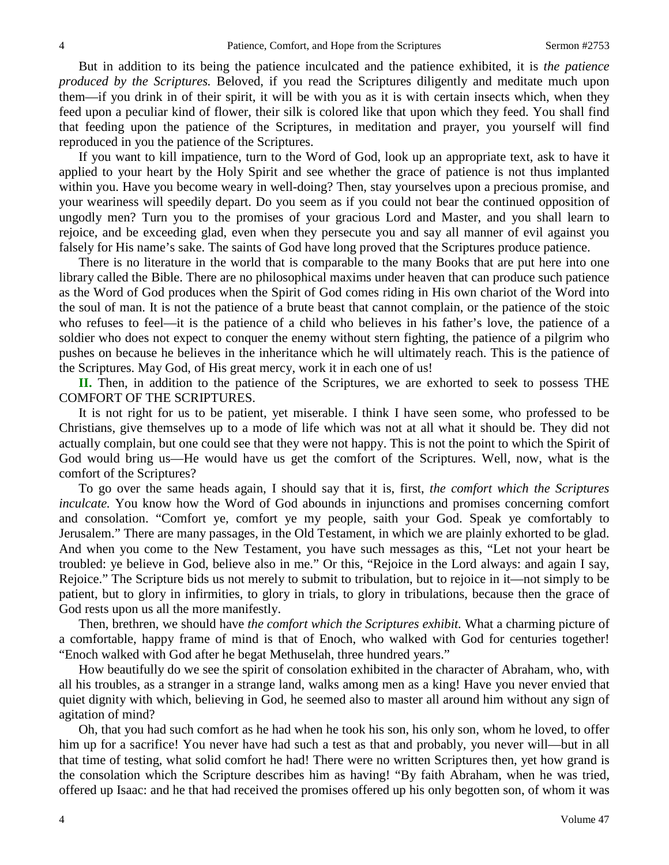But in addition to its being the patience inculcated and the patience exhibited, it is *the patience produced by the Scriptures.* Beloved, if you read the Scriptures diligently and meditate much upon them—if you drink in of their spirit, it will be with you as it is with certain insects which, when they feed upon a peculiar kind of flower, their silk is colored like that upon which they feed. You shall find that feeding upon the patience of the Scriptures, in meditation and prayer, you yourself will find reproduced in you the patience of the Scriptures.

If you want to kill impatience, turn to the Word of God, look up an appropriate text, ask to have it applied to your heart by the Holy Spirit and see whether the grace of patience is not thus implanted within you. Have you become weary in well-doing? Then, stay yourselves upon a precious promise, and your weariness will speedily depart. Do you seem as if you could not bear the continued opposition of ungodly men? Turn you to the promises of your gracious Lord and Master, and you shall learn to rejoice, and be exceeding glad, even when they persecute you and say all manner of evil against you falsely for His name's sake. The saints of God have long proved that the Scriptures produce patience.

There is no literature in the world that is comparable to the many Books that are put here into one library called the Bible. There are no philosophical maxims under heaven that can produce such patience as the Word of God produces when the Spirit of God comes riding in His own chariot of the Word into the soul of man. It is not the patience of a brute beast that cannot complain, or the patience of the stoic who refuses to feel—it is the patience of a child who believes in his father's love, the patience of a soldier who does not expect to conquer the enemy without stern fighting, the patience of a pilgrim who pushes on because he believes in the inheritance which he will ultimately reach. This is the patience of the Scriptures. May God, of His great mercy, work it in each one of us!

**II.** Then, in addition to the patience of the Scriptures, we are exhorted to seek to possess THE COMFORT OF THE SCRIPTURES.

It is not right for us to be patient, yet miserable. I think I have seen some, who professed to be Christians, give themselves up to a mode of life which was not at all what it should be. They did not actually complain, but one could see that they were not happy. This is not the point to which the Spirit of God would bring us—He would have us get the comfort of the Scriptures. Well, now, what is the comfort of the Scriptures?

To go over the same heads again, I should say that it is, first, *the comfort which the Scriptures inculcate.* You know how the Word of God abounds in injunctions and promises concerning comfort and consolation. "Comfort ye*,* comfort ye my people, saith your God. Speak ye comfortably to Jerusalem." There are many passages, in the Old Testament, in which we are plainly exhorted to be glad. And when you come to the New Testament, you have such messages as this, "Let not your heart be troubled: ye believe in God, believe also in me." Or this, "Rejoice in the Lord always: and again I say, Rejoice." The Scripture bids us not merely to submit to tribulation, but to rejoice in it—not simply to be patient, but to glory in infirmities, to glory in trials, to glory in tribulations, because then the grace of God rests upon us all the more manifestly.

Then, brethren, we should have *the comfort which the Scriptures exhibit.* What a charming picture of a comfortable, happy frame of mind is that of Enoch, who walked with God for centuries together! "Enoch walked with God after he begat Methuselah, three hundred years."

How beautifully do we see the spirit of consolation exhibited in the character of Abraham, who, with all his troubles, as a stranger in a strange land, walks among men as a king! Have you never envied that quiet dignity with which, believing in God, he seemed also to master all around him without any sign of agitation of mind?

Oh, that you had such comfort as he had when he took his son, his only son, whom he loved, to offer him up for a sacrifice! You never have had such a test as that and probably, you never will—but in all that time of testing, what solid comfort he had! There were no written Scriptures then, yet how grand is the consolation which the Scripture describes him as having! "By faith Abraham, when he was tried, offered up Isaac: and he that had received the promises offered up his only begotten son, of whom it was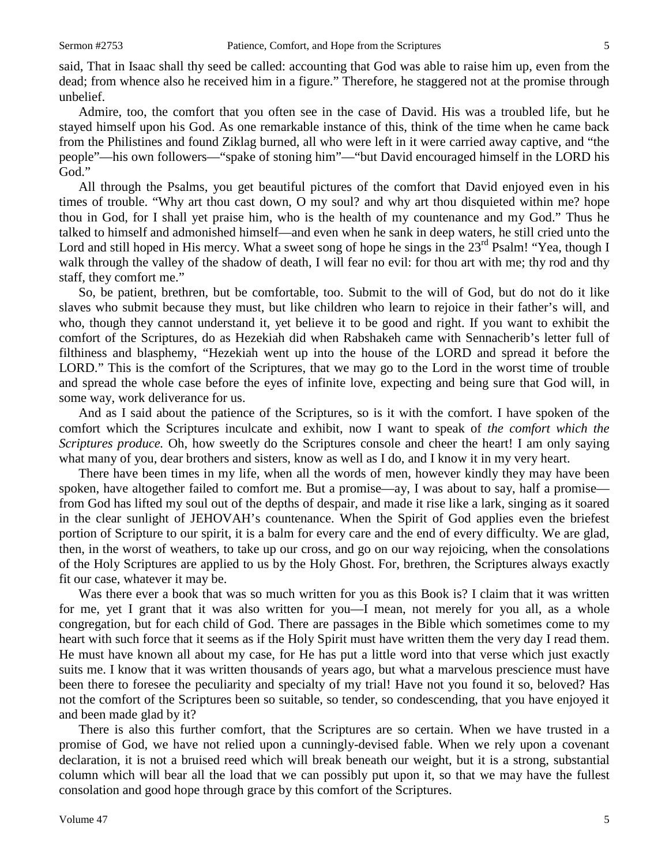said, That in Isaac shall thy seed be called: accounting that God was able to raise him up, even from the dead; from whence also he received him in a figure." Therefore, he staggered not at the promise through unbelief.

Admire, too, the comfort that you often see in the case of David. His was a troubled life, but he stayed himself upon his God. As one remarkable instance of this, think of the time when he came back from the Philistines and found Ziklag burned, all who were left in it were carried away captive, and "the people"—his own followers—"spake of stoning him"—"but David encouraged himself in the LORD his God."

All through the Psalms, you get beautiful pictures of the comfort that David enjoyed even in his times of trouble. "Why art thou cast down, O my soul? and why art thou disquieted within me? hope thou in God, for I shall yet praise him, who is the health of my countenance and my God." Thus he talked to himself and admonished himself—and even when he sank in deep waters, he still cried unto the Lord and still hoped in His mercy. What a sweet song of hope he sings in the 23<sup>rd</sup> Psalm! "Yea, though I walk through the valley of the shadow of death, I will fear no evil: for thou art with me; thy rod and thy staff, they comfort me."

So, be patient, brethren, but be comfortable, too. Submit to the will of God, but do not do it like slaves who submit because they must, but like children who learn to rejoice in their father's will, and who, though they cannot understand it, yet believe it to be good and right. If you want to exhibit the comfort of the Scriptures, do as Hezekiah did when Rabshakeh came with Sennacherib's letter full of filthiness and blasphemy, "Hezekiah went up into the house of the LORD and spread it before the LORD." This is the comfort of the Scriptures, that we may go to the Lord in the worst time of trouble and spread the whole case before the eyes of infinite love, expecting and being sure that God will, in some way, work deliverance for us.

And as I said about the patience of the Scriptures, so is it with the comfort. I have spoken of the comfort which the Scriptures inculcate and exhibit, now I want to speak of *the comfort which the Scriptures produce.* Oh, how sweetly do the Scriptures console and cheer the heart! I am only saying what many of you, dear brothers and sisters, know as well as I do, and I know it in my very heart.

There have been times in my life, when all the words of men, however kindly they may have been spoken, have altogether failed to comfort me. But a promise—ay, I was about to say, half a promise from God has lifted my soul out of the depths of despair, and made it rise like a lark, singing as it soared in the clear sunlight of JEHOVAH's countenance. When the Spirit of God applies even the briefest portion of Scripture to our spirit, it is a balm for every care and the end of every difficulty. We are glad, then, in the worst of weathers, to take up our cross, and go on our way rejoicing, when the consolations of the Holy Scriptures are applied to us by the Holy Ghost. For, brethren, the Scriptures always exactly fit our case, whatever it may be.

Was there ever a book that was so much written for you as this Book is? I claim that it was written for me, yet I grant that it was also written for you—I mean, not merely for you all, as a whole congregation, but for each child of God. There are passages in the Bible which sometimes come to my heart with such force that it seems as if the Holy Spirit must have written them the very day I read them. He must have known all about my case, for He has put a little word into that verse which just exactly suits me. I know that it was written thousands of years ago, but what a marvelous prescience must have been there to foresee the peculiarity and specialty of my trial! Have not you found it so, beloved? Has not the comfort of the Scriptures been so suitable, so tender, so condescending, that you have enjoyed it and been made glad by it?

There is also this further comfort, that the Scriptures are so certain. When we have trusted in a promise of God, we have not relied upon a cunningly-devised fable. When we rely upon a covenant declaration, it is not a bruised reed which will break beneath our weight, but it is a strong, substantial column which will bear all the load that we can possibly put upon it, so that we may have the fullest consolation and good hope through grace by this comfort of the Scriptures.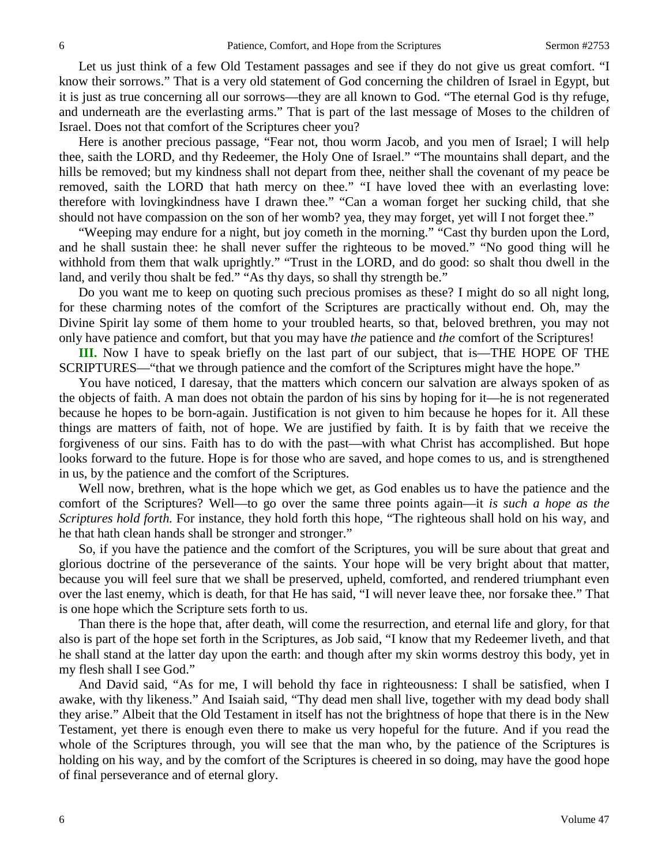Let us just think of a few Old Testament passages and see if they do not give us great comfort. "I know their sorrows." That is a very old statement of God concerning the children of Israel in Egypt, but it is just as true concerning all our sorrows—they are all known to God. "The eternal God is thy refuge, and underneath are the everlasting arms." That is part of the last message of Moses to the children of Israel. Does not that comfort of the Scriptures cheer you?

Here is another precious passage, "Fear not, thou worm Jacob, and you men of Israel; I will help thee, saith the LORD, and thy Redeemer, the Holy One of Israel." "The mountains shall depart, and the hills be removed; but my kindness shall not depart from thee, neither shall the covenant of my peace be removed, saith the LORD that hath mercy on thee." "I have loved thee with an everlasting love: therefore with lovingkindness have I drawn thee." "Can a woman forget her sucking child, that she should not have compassion on the son of her womb? yea, they may forget, yet will I not forget thee."

"Weeping may endure for a night, but joy cometh in the morning." "Cast thy burden upon the Lord, and he shall sustain thee: he shall never suffer the righteous to be moved." "No good thing will he withhold from them that walk uprightly." "Trust in the LORD, and do good: so shalt thou dwell in the land, and verily thou shalt be fed." "As thy days, so shall thy strength be."

Do you want me to keep on quoting such precious promises as these? I might do so all night long, for these charming notes of the comfort of the Scriptures are practically without end. Oh, may the Divine Spirit lay some of them home to your troubled hearts, so that, beloved brethren, you may not only have patience and comfort, but that you may have *the* patience and *the* comfort of the Scriptures!

**III.** Now I have to speak briefly on the last part of our subject, that is—THE HOPE OF THE SCRIPTURES—"that we through patience and the comfort of the Scriptures might have the hope."

You have noticed, I daresay, that the matters which concern our salvation are always spoken of as the objects of faith. A man does not obtain the pardon of his sins by hoping for it—he is not regenerated because he hopes to be born-again. Justification is not given to him because he hopes for it. All these things are matters of faith, not of hope. We are justified by faith. It is by faith that we receive the forgiveness of our sins. Faith has to do with the past—with what Christ has accomplished. But hope looks forward to the future. Hope is for those who are saved, and hope comes to us, and is strengthened in us, by the patience and the comfort of the Scriptures.

Well now, brethren, what is the hope which we get, as God enables us to have the patience and the comfort of the Scriptures? Well—to go over the same three points again—it *is such a hope as the Scriptures hold forth.* For instance, they hold forth this hope, "The righteous shall hold on his way, and he that hath clean hands shall be stronger and stronger."

So, if you have the patience and the comfort of the Scriptures, you will be sure about that great and glorious doctrine of the perseverance of the saints. Your hope will be very bright about that matter, because you will feel sure that we shall be preserved, upheld, comforted, and rendered triumphant even over the last enemy, which is death, for that He has said, "I will never leave thee, nor forsake thee." That is one hope which the Scripture sets forth to us.

Than there is the hope that, after death, will come the resurrection, and eternal life and glory, for that also is part of the hope set forth in the Scriptures, as Job said, "I know that my Redeemer liveth, and that he shall stand at the latter day upon the earth: and though after my skin worms destroy this body, yet in my flesh shall I see God."

And David said, "As for me, I will behold thy face in righteousness: I shall be satisfied, when I awake, with thy likeness." And Isaiah said, "Thy dead men shall live, together with my dead body shall they arise." Albeit that the Old Testament in itself has not the brightness of hope that there is in the New Testament, yet there is enough even there to make us very hopeful for the future. And if you read the whole of the Scriptures through, you will see that the man who, by the patience of the Scriptures is holding on his way, and by the comfort of the Scriptures is cheered in so doing, may have the good hope of final perseverance and of eternal glory.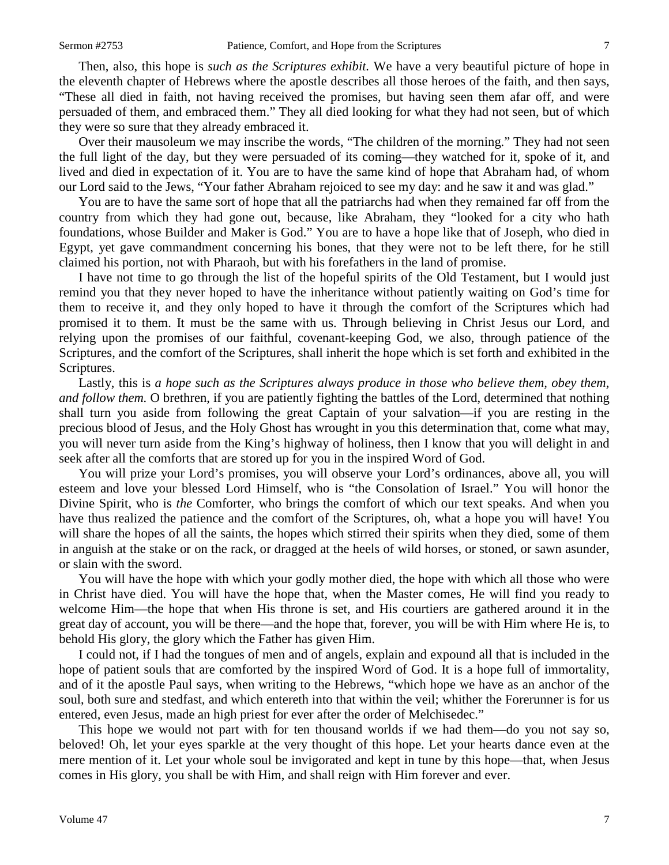Then, also, this hope is *such as the Scriptures exhibit.* We have a very beautiful picture of hope in the eleventh chapter of Hebrews where the apostle describes all those heroes of the faith, and then says, "These all died in faith, not having received the promises, but having seen them afar off, and were persuaded of them, and embraced them." They all died looking for what they had not seen, but of which they were so sure that they already embraced it.

Over their mausoleum we may inscribe the words, "The children of the morning." They had not seen the full light of the day, but they were persuaded of its coming—they watched for it, spoke of it, and lived and died in expectation of it. You are to have the same kind of hope that Abraham had, of whom our Lord said to the Jews, "Your father Abraham rejoiced to see my day: and he saw it and was glad."

You are to have the same sort of hope that all the patriarchs had when they remained far off from the country from which they had gone out, because, like Abraham, they "looked for a city who hath foundations, whose Builder and Maker is God." You are to have a hope like that of Joseph, who died in Egypt, yet gave commandment concerning his bones, that they were not to be left there, for he still claimed his portion, not with Pharaoh, but with his forefathers in the land of promise.

I have not time to go through the list of the hopeful spirits of the Old Testament, but I would just remind you that they never hoped to have the inheritance without patiently waiting on God's time for them to receive it, and they only hoped to have it through the comfort of the Scriptures which had promised it to them. It must be the same with us. Through believing in Christ Jesus our Lord, and relying upon the promises of our faithful, covenant-keeping God, we also, through patience of the Scriptures, and the comfort of the Scriptures, shall inherit the hope which is set forth and exhibited in the Scriptures.

Lastly, this is *a hope such as the Scriptures always produce in those who believe them, obey them, and follow them.* O brethren, if you are patiently fighting the battles of the Lord, determined that nothing shall turn you aside from following the great Captain of your salvation—if you are resting in the precious blood of Jesus, and the Holy Ghost has wrought in you this determination that, come what may, you will never turn aside from the King's highway of holiness, then I know that you will delight in and seek after all the comforts that are stored up for you in the inspired Word of God.

You will prize your Lord's promises, you will observe your Lord's ordinances, above all, you will esteem and love your blessed Lord Himself, who is "the Consolation of Israel." You will honor the Divine Spirit, who is *the* Comforter, who brings the comfort of which our text speaks. And when you have thus realized the patience and the comfort of the Scriptures, oh, what a hope you will have! You will share the hopes of all the saints, the hopes which stirred their spirits when they died, some of them in anguish at the stake or on the rack, or dragged at the heels of wild horses, or stoned, or sawn asunder, or slain with the sword.

You will have the hope with which your godly mother died, the hope with which all those who were in Christ have died. You will have the hope that, when the Master comes, He will find you ready to welcome Him—the hope that when His throne is set, and His courtiers are gathered around it in the great day of account, you will be there—and the hope that, forever, you will be with Him where He is, to behold His glory, the glory which the Father has given Him.

I could not, if I had the tongues of men and of angels, explain and expound all that is included in the hope of patient souls that are comforted by the inspired Word of God. It is a hope full of immortality, and of it the apostle Paul says, when writing to the Hebrews, "which hope we have as an anchor of the soul, both sure and stedfast, and which entereth into that within the veil; whither the Forerunner is for us entered, even Jesus, made an high priest for ever after the order of Melchisedec."

This hope we would not part with for ten thousand worlds if we had them—do you not say so, beloved! Oh, let your eyes sparkle at the very thought of this hope. Let your hearts dance even at the mere mention of it. Let your whole soul be invigorated and kept in tune by this hope—that, when Jesus comes in His glory, you shall be with Him, and shall reign with Him forever and ever.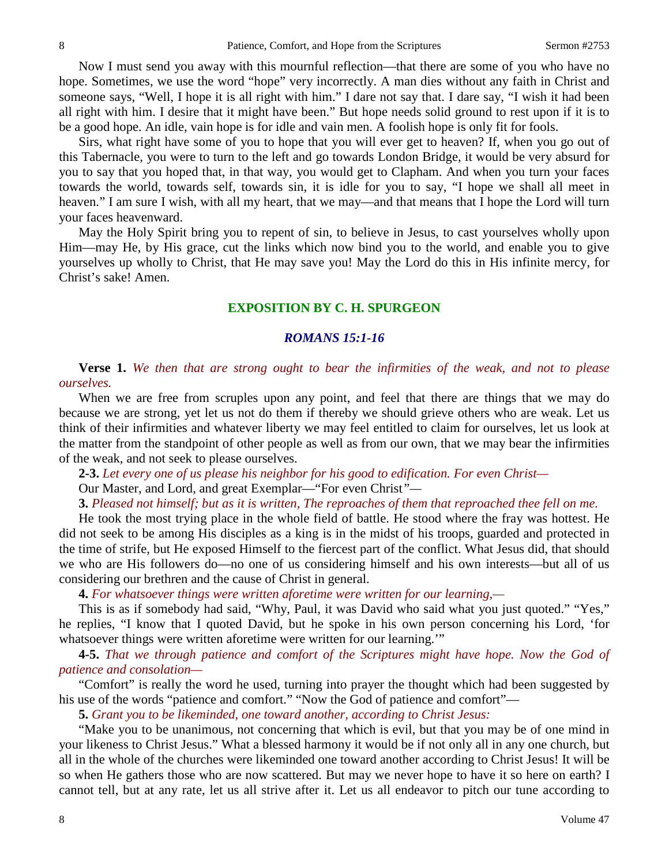Now I must send you away with this mournful reflection—that there are some of you who have no hope. Sometimes, we use the word "hope" very incorrectly. A man dies without any faith in Christ and someone says, "Well, I hope it is all right with him." I dare not say that. I dare say, "I wish it had been all right with him. I desire that it might have been." But hope needs solid ground to rest upon if it is to be a good hope. An idle, vain hope is for idle and vain men. A foolish hope is only fit for fools.

Sirs, what right have some of you to hope that you will ever get to heaven? If, when you go out of this Tabernacle, you were to turn to the left and go towards London Bridge, it would be very absurd for you to say that you hoped that, in that way, you would get to Clapham. And when you turn your faces towards the world, towards self, towards sin, it is idle for you to say, "I hope we shall all meet in heaven." I am sure I wish, with all my heart, that we may—and that means that I hope the Lord will turn your faces heavenward.

May the Holy Spirit bring you to repent of sin, to believe in Jesus, to cast yourselves wholly upon Him—may He, by His grace, cut the links which now bind you to the world, and enable you to give yourselves up wholly to Christ, that He may save you! May the Lord do this in His infinite mercy, for Christ's sake! Amen.

## **EXPOSITION BY C. H. SPURGEON**

#### *ROMANS 15:1-16*

**Verse 1.** *We then that are strong ought to bear the infirmities of the weak, and not to please ourselves.*

When we are free from scruples upon any point, and feel that there are things that we may do because we are strong, yet let us not do them if thereby we should grieve others who are weak. Let us think of their infirmities and whatever liberty we may feel entitled to claim for ourselves, let us look at the matter from the standpoint of other people as well as from our own, that we may bear the infirmities of the weak, and not seek to please ourselves.

**2-3.** *Let every one of us please his neighbor for his good to edification. For even Christ—*

Our Master, and Lord, and great Exemplar—"For even Christ*"—*

**3.** *Pleased not himself; but as it is written, The reproaches of them that reproached thee fell on me.* 

He took the most trying place in the whole field of battle. He stood where the fray was hottest. He did not seek to be among His disciples as a king is in the midst of his troops, guarded and protected in the time of strife, but He exposed Himself to the fiercest part of the conflict. What Jesus did, that should we who are His followers do—no one of us considering himself and his own interests—but all of us considering our brethren and the cause of Christ in general.

**4.** *For whatsoever things were written aforetime were written for our learning,—*

This is as if somebody had said, "Why, Paul, it was David who said what you just quoted." "Yes," he replies, "I know that I quoted David, but he spoke in his own person concerning his Lord, 'for whatsoever things were written aforetime were written for our learning."

**4-5.** *That we through patience and comfort of the Scriptures might have hope. Now the God of patience and consolation—*

"Comfort" is really the word he used, turning into prayer the thought which had been suggested by his use of the words "patience and comfort." "Now the God of patience and comfort"—

**5.** *Grant you to be likeminded, one toward another, according to Christ Jesus:*

"Make you to be unanimous, not concerning that which is evil, but that you may be of one mind in your likeness to Christ Jesus." What a blessed harmony it would be if not only all in any one church, but all in the whole of the churches were likeminded one toward another according to Christ Jesus! It will be so when He gathers those who are now scattered. But may we never hope to have it so here on earth? I cannot tell, but at any rate, let us all strive after it. Let us all endeavor to pitch our tune according to